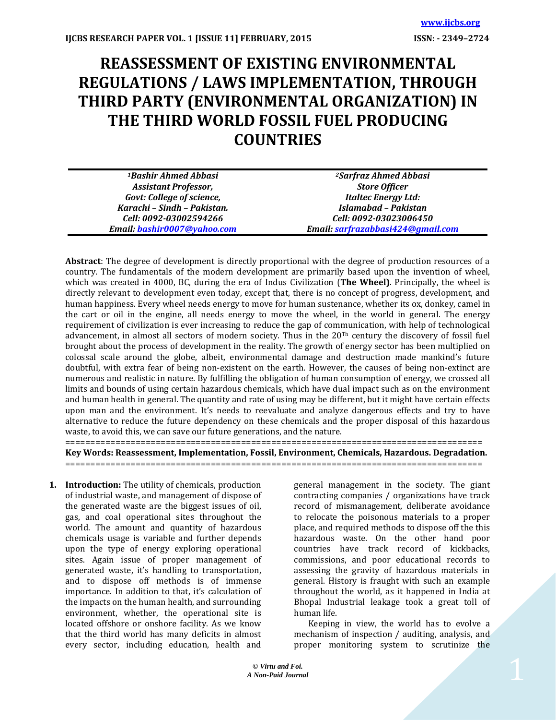# **REASSESSMENT OF EXISTING ENVIRONMENTAL REGULATIONS / LAWS IMPLEMENTATION, THROUGH THIRD PARTY (ENVIRONMENTAL ORGANIZATION) IN THE THIRD WORLD FOSSIL FUEL PRODUCING COUNTRIES**

| <sup>1</sup> Bashir Ahmed Abbasi | <sup>2</sup> Sarfraz Ahmed Abbasi |
|----------------------------------|-----------------------------------|
| <b>Assistant Professor,</b>      | <b>Store Officer</b>              |
| <b>Govt: College of science,</b> | <b>Italtec Energy Ltd:</b>        |
| Karachi - Sindh - Pakistan.      | Islamabad - Pakistan              |
| Cell: 0092-03002594266           | Cell: 0092-03023006450            |
| Email: bashir0007@yahoo.com      | Email: sarfrazabbasi424@gmail.com |

**Abstract**: The degree of development is directly proportional with the degree of production resources of a country. The fundamentals of the modern development are primarily based upon the invention of wheel, which was created in 4000, BC, during the era of Indus Civilization (**The Wheel)**. Principally, the wheel is directly relevant to development even today, except that, there is no concept of progress, development, and human happiness. Every wheel needs energy to move for human sustenance, whether its ox, donkey, camel in the cart or oil in the engine, all needs energy to move the wheel, in the world in general. The energy requirement of civilization is ever increasing to reduce the gap of communication, with help of technological advancement, in almost all sectors of modern society. Thus in the 20Th century the discovery of fossil fuel brought about the process of development in the reality. The growth of energy sector has been multiplied on colossal scale around the globe, albeit, environmental damage and destruction made mankind's future doubtful, with extra fear of being non-existent on the earth. However, the causes of being non-extinct are numerous and realistic in nature. By fulfilling the obligation of human consumption of energy, we crossed all limits and bounds of using certain hazardous chemicals, which have dual impact such as on the environment and human health in general. The quantity and rate of using may be different, but it might have certain effects upon man and the environment. It's needs to reevaluate and analyze dangerous effects and try to have alternative to reduce the future dependency on these chemicals and the proper disposal of this hazardous waste, to avoid this, we can save our future generations, and the nature.

=================================================================================== **Key Words: Reassessment, Implementation, Fossil, Environment, Chemicals, Hazardous. Degradation.** ===================================================================================

**1. Introduction:** The utility of chemicals, production of industrial waste, and management of dispose of the generated waste are the biggest issues of oil, gas, and coal operational sites throughout the world. The amount and quantity of hazardous chemicals usage is variable and further depends upon the type of energy exploring operational sites. Again issue of proper management of generated waste, it's handling to transportation, and to dispose off methods is of immense importance. In addition to that, it's calculation of the impacts on the human health, and surrounding environment, whether, the operational site is located offshore or onshore facility. As we know that the third world has many deficits in almost every sector, including education, health and

general management in the society. The giant contracting companies / organizations have track record of mismanagement, deliberate avoidance to relocate the poisonous materials to a proper place, and required methods to dispose off the this hazardous waste. On the other hand poor countries have track record of kickbacks, commissions, and poor educational records to assessing the gravity of hazardous materials in general. History is fraught with such an example throughout the world, as it happened in India at Bhopal Industrial leakage took a great toll of human life.

 Keeping in view, the world has to evolve a mechanism of inspection / auditing, analysis, and proper monitoring system to scrutinize the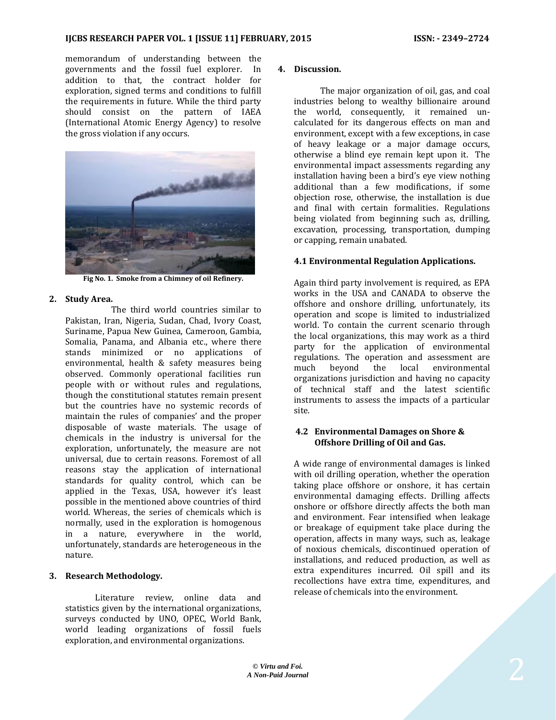memorandum of understanding between the governments and the fossil fuel explorer. In addition to that, the contract holder for exploration, signed terms and conditions to fulfill the requirements in future. While the third party should consist on the pattern of IAEA (International Atomic Energy Agency) to resolve the gross violation if any occurs.



**Fig No. 1. Smoke from a Chimney of oil Refinery.**

## **2. Study Area.**

 The third world countries similar to Pakistan, Iran, Nigeria, Sudan, Chad, Ivory Coast, Suriname, Papua New Guinea, Cameroon, Gambia, Somalia, Panama, and Albania etc., where there stands minimized or no applications of environmental, health & safety measures being observed. Commonly operational facilities run people with or without rules and regulations, though the constitutional statutes remain present but the countries have no systemic records of maintain the rules of companies' and the proper disposable of waste materials. The usage of chemicals in the industry is universal for the exploration, unfortunately, the measure are not universal, due to certain reasons. Foremost of all reasons stay the application of international standards for quality control, which can be applied in the Texas, USA, however it's least possible in the mentioned above countries of third world. Whereas, the series of chemicals which is normally, used in the exploration is homogenous in a nature, everywhere in the world, unfortunately, standards are heterogeneous in the nature.

## **3. Research Methodology.**

 Literature review, online data and statistics given by the international organizations, surveys conducted by UNO, OPEC, World Bank, world leading organizations of fossil fuels exploration, and environmental organizations.

#### **4. Discussion.**

 The major organization of oil, gas, and coal industries belong to wealthy billionaire around the world, consequently, it remained uncalculated for its dangerous effects on man and environment, except with a few exceptions, in case of heavy leakage or a major damage occurs, otherwise a blind eye remain kept upon it. The environmental impact assessments regarding any installation having been a bird's eye view nothing additional than a few modifications, if some objection rose, otherwise, the installation is due and final with certain formalities. Regulations being violated from beginning such as, drilling, excavation, processing, transportation, dumping or capping, remain unabated.

## **4.1 Environmental Regulation Applications.**

Again third party involvement is required, as EPA works in the USA and CANADA to observe the offshore and onshore drilling, unfortunately, its operation and scope is limited to industrialized world. To contain the current scenario through the local organizations, this may work as a third party for the application of environmental regulations. The operation and assessment are much beyond the local environmental organizations jurisdiction and having no capacity of technical staff and the latest scientific instruments to assess the impacts of a particular site.

#### **4.2 Environmental Damages on Shore & Offshore Drilling of Oil and Gas.**

A wide range of environmental damages is linked with oil drilling operation, whether the operation taking place offshore or onshore, it has certain environmental damaging effects. Drilling affects onshore or offshore directly affects the both man and environment. Fear intensified when leakage or breakage of equipment take place during the operation, affects in many ways, such as, leakage of noxious chemicals, discontinued operation of installations, and reduced production, as well as extra expenditures incurred. Oil spill and its recollections have extra time, expenditures, and release of chemicals into the environment.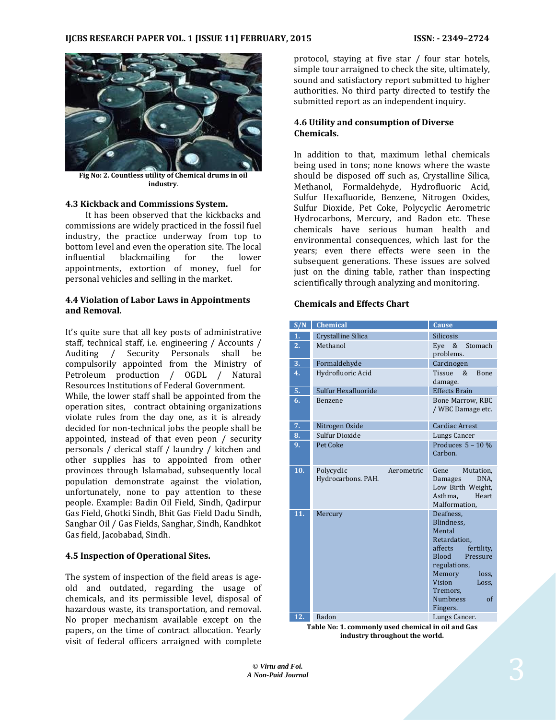

**Fig No: 2. Countless utility of Chemical drums in oil industry**.

## **4.3 Kickback and Commissions System.**

 It has been observed that the kickbacks and commissions are widely practiced in the fossil fuel industry, the practice underway from top to bottom level and even the operation site. The local influential blackmailing for the lower appointments, extortion of money, fuel for personal vehicles and selling in the market.

#### **4.4 Violation of Labor Laws in Appointments and Removal.**

It's quite sure that all key posts of administrative staff, technical staff, i.e. engineering / Accounts / Auditing / Security Personals shall be compulsorily appointed from the Ministry of Petroleum production / OGDL / Natural Resources Institutions of Federal Government.

While, the lower staff shall be appointed from the operation sites, contract obtaining organizations violate rules from the day one, as it is already decided for non-technical jobs the people shall be appointed, instead of that even peon / security personals / clerical staff / laundry / kitchen and other supplies has to appointed from other provinces through Islamabad, subsequently local population demonstrate against the violation, unfortunately, none to pay attention to these people. Example: Badin Oil Field, Sindh, Qadirpur Gas Field, Ghotki Sindh, Bhit Gas Field Dadu Sindh, Sanghar Oil / Gas Fields, Sanghar, Sindh, Kandhkot Gas field, Jacobabad, Sindh.

#### **4.5 Inspection of Operational Sites.**

The system of inspection of the field areas is ageold and outdated, regarding the usage of chemicals, and its permissible level, disposal of hazardous waste, its transportation, and removal. No proper mechanism available except on the papers, on the time of contract allocation. Yearly visit of federal officers arraigned with complete protocol, staying at five star / four star hotels, simple tour arraigned to check the site, ultimately, sound and satisfactory report submitted to higher authorities. No third party directed to testify the submitted report as an independent inquiry.

## **4.6 Utility and consumption of Diverse Chemicals.**

In addition to that, maximum lethal chemicals being used in tons; none knows where the waste should be disposed off such as, Crystalline Silica, Methanol, Formaldehyde, Hydrofluoric Acid, Sulfur Hexafluoride, Benzene, Nitrogen Oxides, Sulfur Dioxide, Pet Coke, Polycyclic Aerometric Hydrocarbons, Mercury, and Radon etc. These chemicals have serious human health and environmental consequences, which last for the years; even there effects were seen in the subsequent generations. These issues are solved just on the dining table, rather than inspecting scientifically through analyzing and monitoring.

#### **Chemicals and Effects Chart**

| S/N              | <b>Chemical</b>                                             | Cause                                                                                                                                                                                                                 |
|------------------|-------------------------------------------------------------|-----------------------------------------------------------------------------------------------------------------------------------------------------------------------------------------------------------------------|
| 1.               | Crystalline Silica                                          | <b>Silicosis</b>                                                                                                                                                                                                      |
| $\overline{2}$ . | Methanol                                                    | Stomach<br>Eve<br>&<br>problems.                                                                                                                                                                                      |
| 3.               | Formaldehyde                                                | Carcinogen                                                                                                                                                                                                            |
| 4.               | Hydrofluoric Acid                                           | <b>Bone</b><br>Tissue<br>&<br>damage.                                                                                                                                                                                 |
| 5.               | Sulfur Hexafluoride                                         | <b>Effects Brain</b>                                                                                                                                                                                                  |
| 6.               | Benzene                                                     | Bone Marrow, RBC<br>/ WBC Damage etc.                                                                                                                                                                                 |
| 7.               | Nitrogen Oxide                                              | <b>Cardiac Arrest</b>                                                                                                                                                                                                 |
| 8.               | Sulfur Dioxide                                              | Lungs Cancer                                                                                                                                                                                                          |
| 9.               | Pet Coke                                                    | Produces $5 - 10%$<br>Carbon.                                                                                                                                                                                         |
| 10.              | Polycyclic<br>Aerometric<br>Hydrocarbons. PAH.              | Gene<br>Mutation,<br>DNA.<br>Damages<br>Low Birth Weight,<br>Asthma,<br>Heart<br>Malformation.                                                                                                                        |
| 11.              | Mercury                                                     | Deafness.<br>Blindness.<br>Mental<br>Retardation,<br>affects<br>fertility,<br><b>Blood</b><br>Pressure<br>regulations,<br>Memory<br>loss.<br>Vision<br>Loss,<br>Tremors,<br><b>Numbness</b><br>$\alpha$ f<br>Fingers. |
| 12.              | Radon<br>Tahla No: 1, commonly used chemical in oil and Gas | Lungs Cancer.                                                                                                                                                                                                         |

**Table No: 1. commonly used chemical in oil and Gas industry throughout the world.**